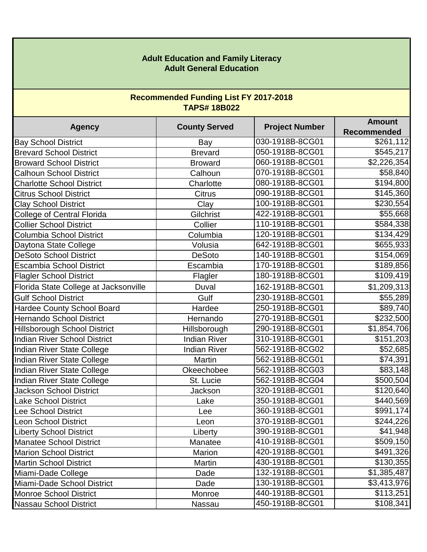## **Adult Education and Family Literacy Adult General Education**

## **Recommended Funding List FY 2017-2018 TAPS# 18B022**

| <b>Agency</b>                         | <b>County Served</b> | <b>Project Number</b> | <b>Amount</b><br><b>Recommended</b> |
|---------------------------------------|----------------------|-----------------------|-------------------------------------|
| <b>Bay School District</b>            | Bay                  | 030-1918B-8CG01       | \$261,112                           |
| <b>Brevard School District</b>        | <b>Brevard</b>       | 050-1918B-8CG01       | \$545,217                           |
| <b>Broward School District</b>        | <b>Broward</b>       | 060-1918B-8CG01       | \$2,226,354                         |
| <b>Calhoun School District</b>        | Calhoun              | 070-1918B-8CG01       | \$58,840                            |
| <b>Charlotte School District</b>      | Charlotte            | 080-1918B-8CG01       | \$194,800                           |
| <b>Citrus School District</b>         | <b>Citrus</b>        | 090-1918B-8CG01       | \$145,360                           |
| <b>Clay School District</b>           | Clay                 | 100-1918B-8CG01       | \$230,554                           |
| <b>College of Central Florida</b>     | Gilchrist            | 422-1918B-8CG01       | \$55,668                            |
| <b>Collier School District</b>        | Collier              | 110-1918B-8CG01       | \$584,338                           |
| Columbia School District              | Columbia             | 120-1918B-8CG01       | \$134,429                           |
| Daytona State College                 | Volusia              | 642-1918B-8CG01       | \$655,933                           |
| <b>DeSoto School District</b>         | <b>DeSoto</b>        | 140-1918B-8CG01       | \$154,069                           |
| <b>Escambia School District</b>       | Escambia             | 170-1918B-8CG01       | \$189,856                           |
| <b>Flagler School District</b>        | Flagler              | 180-1918B-8CG01       | \$109,419                           |
| Florida State College at Jacksonville | Duval                | 162-1918B-8CG01       | \$1,209,313                         |
| <b>Gulf School District</b>           | Gulf                 | 230-1918B-8CG01       | \$55,289                            |
| Hardee County School Board            | Hardee               | 250-1918B-8CG01       | \$89,740                            |
| <b>Hernando School District</b>       | Hernando             | 270-1918B-8CG01       | \$232,500                           |
| <b>Hillsborough School District</b>   | Hillsborough         | 290-1918B-8CG01       | \$1,854,706                         |
| <b>Indian River School District</b>   | <b>Indian River</b>  | 310-1918B-8CG01       | \$151,203                           |
| Indian River State College            | <b>Indian River</b>  | 562-1918B-8CG02       | \$52,685                            |
| Indian River State College            | Martin               | 562-1918B-8CG01       | \$74,391                            |
| Indian River State College            | Okeechobee           | 562-1918B-8CG03       | \$83,148                            |
| Indian River State College            | St. Lucie            | 562-1918B-8CG04       | \$500,504                           |
| <b>Jackson School District</b>        | Jackson              | 320-1918B-8CG01       | \$120,640                           |
| Lake School District                  | Lake                 | 350-1918B-8CG01       | \$440,569                           |
| <b>Lee School District</b>            | Lee                  | 360-1918B-8CG01       | $\overline{$}$ 991,174              |
| <b>Leon School District</b>           | Leon                 | 370-1918B-8CG01       | \$244,226                           |
| <b>Liberty School District</b>        | Liberty              | 390-1918B-8CG01       | \$41,948                            |
| <b>Manatee School District</b>        | Manatee              | 410-1918B-8CG01       | \$509,150                           |
| <b>Marion School District</b>         | Marion               | 420-1918B-8CG01       | \$491,326                           |
| <b>Martin School District</b>         | Martin               | 430-1918B-8CG01       | \$130,355                           |
| Miami-Dade College                    | Dade                 | 132-1918B-8CG01       | \$1,385,487                         |
| Miami-Dade School District            | Dade                 | 130-1918B-8CG01       | \$3,413,976                         |
| <b>Monroe School District</b>         | Monroe               | 440-1918B-8CG01       | \$113,251                           |
| <b>Nassau School District</b>         | Nassau               | 450-1918B-8CG01       | \$108,341                           |